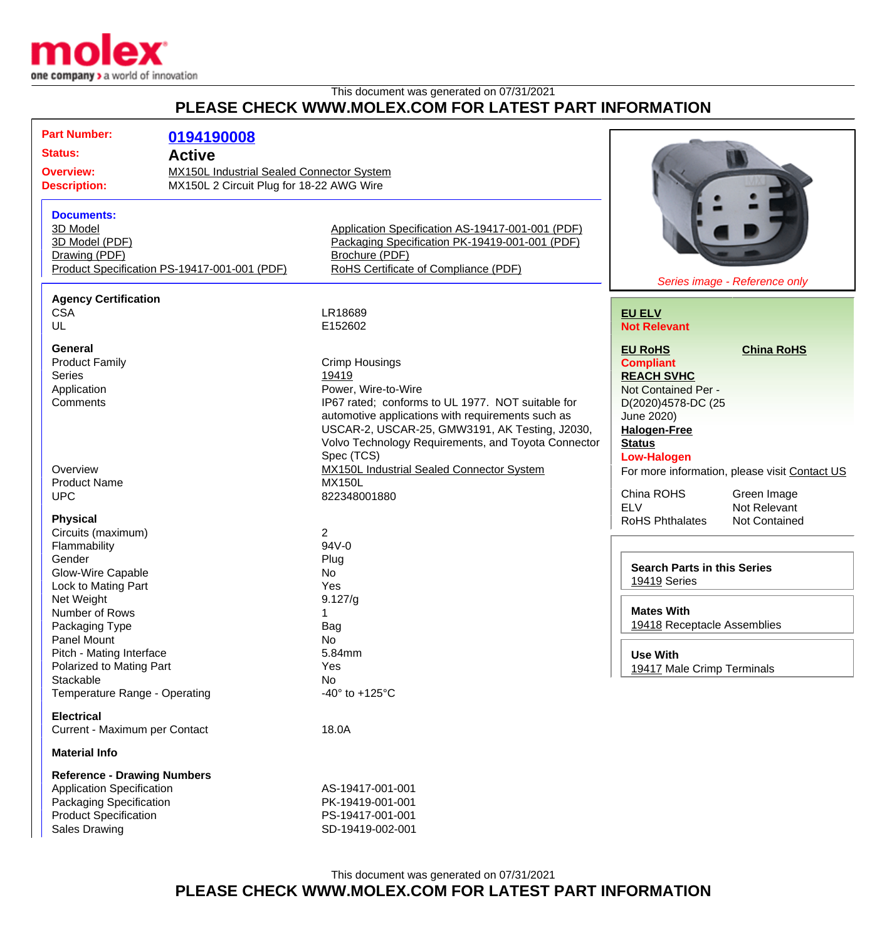

## This document was generated on 07/31/2021 **PLEASE CHECK WWW.MOLEX.COM FOR LATEST PART INFORMATION**

| <b>Part Number:</b>                   |                                                                                       |                                                     |                                    |                                               |
|---------------------------------------|---------------------------------------------------------------------------------------|-----------------------------------------------------|------------------------------------|-----------------------------------------------|
|                                       | 0194190008                                                                            |                                                     |                                    |                                               |
| <b>Status:</b><br><b>Active</b>       |                                                                                       |                                                     |                                    |                                               |
| <b>Overview:</b>                      | MX150L Industrial Sealed Connector System<br>MX150L 2 Circuit Plug for 18-22 AWG Wire |                                                     |                                    |                                               |
| <b>Description:</b>                   |                                                                                       |                                                     |                                    |                                               |
|                                       |                                                                                       |                                                     |                                    |                                               |
| <b>Documents:</b>                     |                                                                                       |                                                     |                                    |                                               |
| 3D Model                              |                                                                                       | Application Specification AS-19417-001-001 (PDF)    |                                    |                                               |
| 3D Model (PDF)                        |                                                                                       | Packaging Specification PK-19419-001-001 (PDF)      |                                    |                                               |
| Drawing (PDF)                         |                                                                                       | Brochure (PDF)                                      |                                    |                                               |
|                                       | Product Specification PS-19417-001-001 (PDF)                                          | RoHS Certificate of Compliance (PDF)                |                                    | Series image - Reference only                 |
| <b>Agency Certification</b>           |                                                                                       |                                                     |                                    |                                               |
| <b>CSA</b>                            |                                                                                       | LR18689                                             | <b>EU ELV</b>                      |                                               |
| UL                                    |                                                                                       | E152602                                             | <b>Not Relevant</b>                |                                               |
|                                       |                                                                                       |                                                     |                                    |                                               |
| <b>General</b>                        |                                                                                       |                                                     | <b>EU RoHS</b>                     | <b>China RoHS</b>                             |
| <b>Product Family</b>                 |                                                                                       | <b>Crimp Housings</b>                               | <b>Compliant</b>                   |                                               |
| <b>Series</b>                         |                                                                                       | 19419                                               | <b>REACH SVHC</b>                  |                                               |
| Application                           |                                                                                       | Power, Wire-to-Wire                                 | Not Contained Per -                |                                               |
| Comments                              |                                                                                       | IP67 rated; conforms to UL 1977. NOT suitable for   | D(2020)4578-DC (25                 |                                               |
|                                       |                                                                                       | automotive applications with requirements such as   | June 2020)                         |                                               |
|                                       |                                                                                       | USCAR-2, USCAR-25, GMW3191, AK Testing, J2030,      | <b>Halogen-Free</b>                |                                               |
|                                       |                                                                                       | Volvo Technology Requirements, and Toyota Connector | <b>Status</b>                      |                                               |
|                                       |                                                                                       | Spec (TCS)                                          | <b>Low-Halogen</b>                 |                                               |
| Overview                              |                                                                                       | MX150L Industrial Sealed Connector System           |                                    | For more information, please visit Contact US |
| <b>Product Name</b>                   |                                                                                       | <b>MX150L</b>                                       |                                    |                                               |
| <b>UPC</b>                            |                                                                                       | 822348001880                                        | China ROHS                         | Green Image                                   |
|                                       |                                                                                       |                                                     | <b>ELV</b>                         | Not Relevant                                  |
| <b>Physical</b><br>Circuits (maximum) |                                                                                       | $\overline{2}$                                      | <b>RoHS Phthalates</b>             | <b>Not Contained</b>                          |
| Flammability                          |                                                                                       | $94V - 0$                                           |                                    |                                               |
| Gender                                |                                                                                       | Plug                                                |                                    |                                               |
| Glow-Wire Capable                     |                                                                                       | <b>No</b>                                           | <b>Search Parts in this Series</b> |                                               |
| Lock to Mating Part                   |                                                                                       | Yes                                                 | 19419 Series                       |                                               |
| Net Weight                            |                                                                                       | 9.127/g                                             |                                    |                                               |
| Number of Rows                        |                                                                                       | 1                                                   | <b>Mates With</b>                  |                                               |
| Packaging Type                        |                                                                                       | Bag                                                 | 19418 Receptacle Assemblies        |                                               |
| Panel Mount                           |                                                                                       | <b>No</b>                                           |                                    |                                               |
| Pitch - Mating Interface              |                                                                                       | 5.84mm                                              | <b>Use With</b>                    |                                               |
| Polarized to Mating Part              |                                                                                       | Yes                                                 | 19417 Male Crimp Terminals         |                                               |
| Stackable                             |                                                                                       | No.                                                 |                                    |                                               |
| Temperature Range - Operating         |                                                                                       | -40 $\degree$ to +125 $\degree$ C                   |                                    |                                               |
| <b>Electrical</b>                     |                                                                                       |                                                     |                                    |                                               |
| Current - Maximum per Contact         |                                                                                       | 18.0A                                               |                                    |                                               |
| <b>Material Info</b>                  |                                                                                       |                                                     |                                    |                                               |
|                                       |                                                                                       |                                                     |                                    |                                               |
| <b>Reference - Drawing Numbers</b>    |                                                                                       |                                                     |                                    |                                               |
| <b>Application Specification</b>      |                                                                                       | AS-19417-001-001                                    |                                    |                                               |
| Packaging Specification               |                                                                                       | PK-19419-001-001                                    |                                    |                                               |
| <b>Product Specification</b>          |                                                                                       | PS-19417-001-001                                    |                                    |                                               |